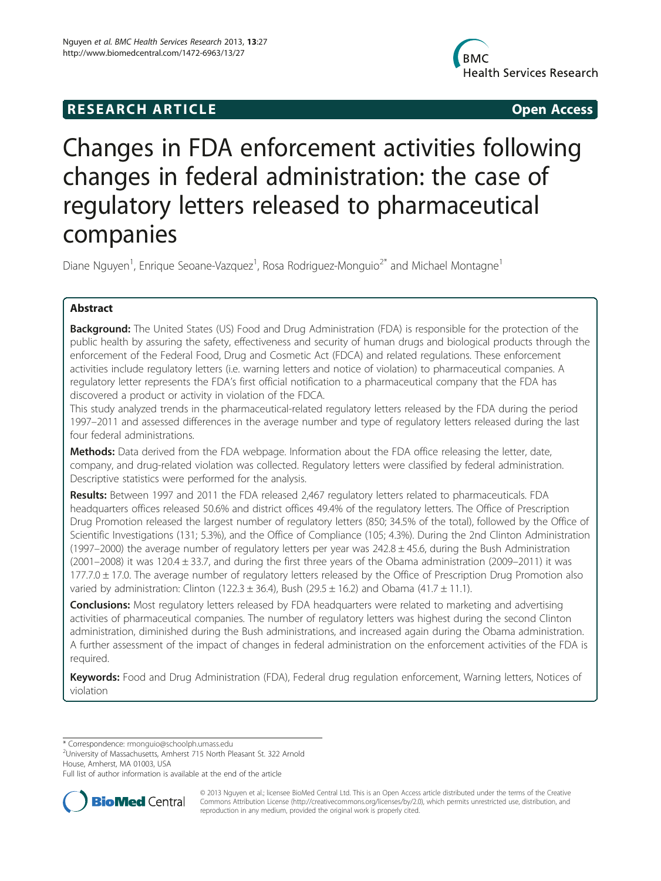# **RESEARCH ARTICLE Example 2018 12:00 Open Access**



# Changes in FDA enforcement activities following changes in federal administration: the case of regulatory letters released to pharmaceutical companies

Diane Nguyen<sup>1</sup>, Enrique Seoane-Vazquez<sup>1</sup>, Rosa Rodriguez-Monguio<sup>2\*</sup> and Michael Montagne<sup>1</sup>

# Abstract

**Background:** The United States (US) Food and Drug Administration (FDA) is responsible for the protection of the public health by assuring the safety, effectiveness and security of human drugs and biological products through the enforcement of the Federal Food, Drug and Cosmetic Act (FDCA) and related regulations. These enforcement activities include regulatory letters (i.e. warning letters and notice of violation) to pharmaceutical companies. A regulatory letter represents the FDA's first official notification to a pharmaceutical company that the FDA has discovered a product or activity in violation of the FDCA.

This study analyzed trends in the pharmaceutical-related regulatory letters released by the FDA during the period 1997–2011 and assessed differences in the average number and type of regulatory letters released during the last four federal administrations.

Methods: Data derived from the FDA webpage. Information about the FDA office releasing the letter, date, company, and drug-related violation was collected. Regulatory letters were classified by federal administration. Descriptive statistics were performed for the analysis.

Results: Between 1997 and 2011 the FDA released 2,467 regulatory letters related to pharmaceuticals. FDA headquarters offices released 50.6% and district offices 49.4% of the regulatory letters. The Office of Prescription Drug Promotion released the largest number of regulatory letters (850; 34.5% of the total), followed by the Office of Scientific Investigations (131; 5.3%), and the Office of Compliance (105; 4.3%). During the 2nd Clinton Administration (1997–2000) the average number of regulatory letters per year was 242.8 ± 45.6, during the Bush Administration (2001–2008) it was 120.4 ± 33.7, and during the first three years of the Obama administration (2009–2011) it was 177.7.0  $\pm$  17.0. The average number of regulatory letters released by the Office of Prescription Drug Promotion also varied by administration: Clinton (122.3  $\pm$  36.4), Bush (29.5  $\pm$  16.2) and Obama (41.7  $\pm$  11.1).

**Conclusions:** Most regulatory letters released by FDA headquarters were related to marketing and advertising activities of pharmaceutical companies. The number of regulatory letters was highest during the second Clinton administration, diminished during the Bush administrations, and increased again during the Obama administration. A further assessment of the impact of changes in federal administration on the enforcement activities of the FDA is required.

Keywords: Food and Drug Administration (FDA), Federal drug regulation enforcement, Warning letters, Notices of violation

\* Correspondence: [rmonguio@schoolph.umass.edu](mailto:rmonguio@schoolph.umass.edu) <sup>2</sup>

<sup>2</sup>University of Massachusetts, Amherst 715 North Pleasant St. 322 Arnold House, Amherst, MA 01003, USA

Full list of author information is available at the end of the article



© 2013 Nguyen et al.; licensee BioMed Central Ltd. This is an Open Access article distributed under the terms of the Creative Commons Attribution License [\(http://creativecommons.org/licenses/by/2.0\)](http://creativecommons.org/licenses/by/2.0), which permits unrestricted use, distribution, and reproduction in any medium, provided the original work is properly cited.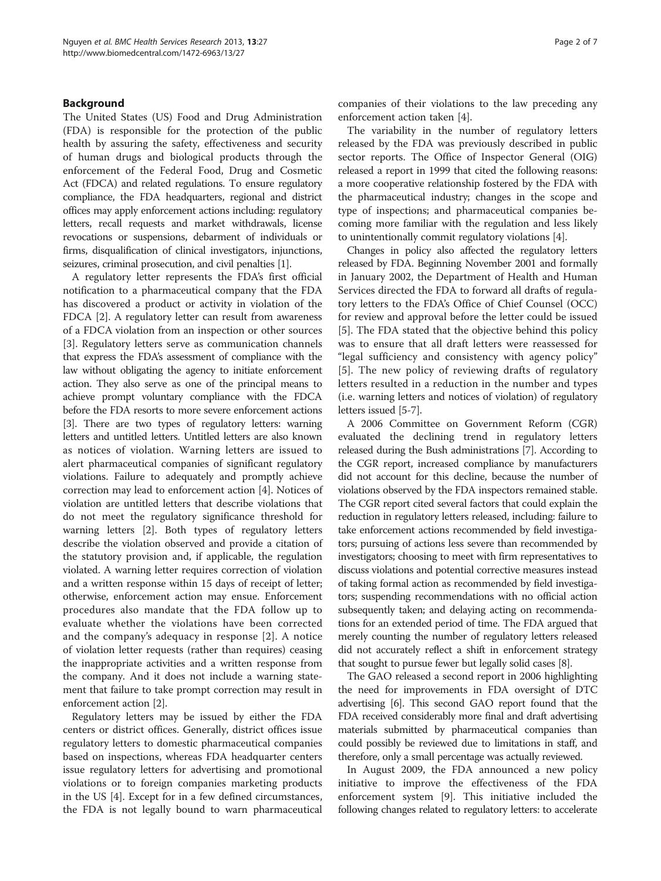# Background

The United States (US) Food and Drug Administration (FDA) is responsible for the protection of the public health by assuring the safety, effectiveness and security of human drugs and biological products through the enforcement of the Federal Food, Drug and Cosmetic Act (FDCA) and related regulations. To ensure regulatory compliance, the FDA headquarters, regional and district offices may apply enforcement actions including: regulatory letters, recall requests and market withdrawals, license revocations or suspensions, debarment of individuals or firms, disqualification of clinical investigators, injunctions, seizures, criminal prosecution, and civil penalties [\[1\]](#page-6-0).

A regulatory letter represents the FDA's first official notification to a pharmaceutical company that the FDA has discovered a product or activity in violation of the FDCA [\[2](#page-6-0)]. A regulatory letter can result from awareness of a FDCA violation from an inspection or other sources [[3\]](#page-6-0). Regulatory letters serve as communication channels that express the FDA's assessment of compliance with the law without obligating the agency to initiate enforcement action. They also serve as one of the principal means to achieve prompt voluntary compliance with the FDCA before the FDA resorts to more severe enforcement actions [[3](#page-6-0)]. There are two types of regulatory letters: warning letters and untitled letters. Untitled letters are also known as notices of violation. Warning letters are issued to alert pharmaceutical companies of significant regulatory violations. Failure to adequately and promptly achieve correction may lead to enforcement action [\[4\]](#page-6-0). Notices of violation are untitled letters that describe violations that do not meet the regulatory significance threshold for warning letters [\[2](#page-6-0)]. Both types of regulatory letters describe the violation observed and provide a citation of the statutory provision and, if applicable, the regulation violated. A warning letter requires correction of violation and a written response within 15 days of receipt of letter; otherwise, enforcement action may ensue. Enforcement procedures also mandate that the FDA follow up to evaluate whether the violations have been corrected and the company's adequacy in response [\[2\]](#page-6-0). A notice of violation letter requests (rather than requires) ceasing the inappropriate activities and a written response from the company. And it does not include a warning statement that failure to take prompt correction may result in enforcement action [[2\]](#page-6-0).

Regulatory letters may be issued by either the FDA centers or district offices. Generally, district offices issue regulatory letters to domestic pharmaceutical companies based on inspections, whereas FDA headquarter centers issue regulatory letters for advertising and promotional violations or to foreign companies marketing products in the US [\[4](#page-6-0)]. Except for in a few defined circumstances, the FDA is not legally bound to warn pharmaceutical

companies of their violations to the law preceding any enforcement action taken [[4](#page-6-0)].

The variability in the number of regulatory letters released by the FDA was previously described in public sector reports. The Office of Inspector General (OIG) released a report in 1999 that cited the following reasons: a more cooperative relationship fostered by the FDA with the pharmaceutical industry; changes in the scope and type of inspections; and pharmaceutical companies becoming more familiar with the regulation and less likely to unintentionally commit regulatory violations [\[4](#page-6-0)].

Changes in policy also affected the regulatory letters released by FDA. Beginning November 2001 and formally in January 2002, the Department of Health and Human Services directed the FDA to forward all drafts of regulatory letters to the FDA's Office of Chief Counsel (OCC) for review and approval before the letter could be issued [[5\]](#page-6-0). The FDA stated that the objective behind this policy was to ensure that all draft letters were reassessed for "legal sufficiency and consistency with agency policy" [[5](#page-6-0)]. The new policy of reviewing drafts of regulatory letters resulted in a reduction in the number and types (i.e. warning letters and notices of violation) of regulatory letters issued [\[5-7](#page-6-0)].

A 2006 Committee on Government Reform (CGR) evaluated the declining trend in regulatory letters released during the Bush administrations [[7](#page-6-0)]. According to the CGR report, increased compliance by manufacturers did not account for this decline, because the number of violations observed by the FDA inspectors remained stable. The CGR report cited several factors that could explain the reduction in regulatory letters released, including: failure to take enforcement actions recommended by field investigators; pursuing of actions less severe than recommended by investigators; choosing to meet with firm representatives to discuss violations and potential corrective measures instead of taking formal action as recommended by field investigators; suspending recommendations with no official action subsequently taken; and delaying acting on recommendations for an extended period of time. The FDA argued that merely counting the number of regulatory letters released did not accurately reflect a shift in enforcement strategy that sought to pursue fewer but legally solid cases [\[8\]](#page-6-0).

The GAO released a second report in 2006 highlighting the need for improvements in FDA oversight of DTC advertising [[6](#page-6-0)]. This second GAO report found that the FDA received considerably more final and draft advertising materials submitted by pharmaceutical companies than could possibly be reviewed due to limitations in staff, and therefore, only a small percentage was actually reviewed.

In August 2009, the FDA announced a new policy initiative to improve the effectiveness of the FDA enforcement system [\[9](#page-6-0)]. This initiative included the following changes related to regulatory letters: to accelerate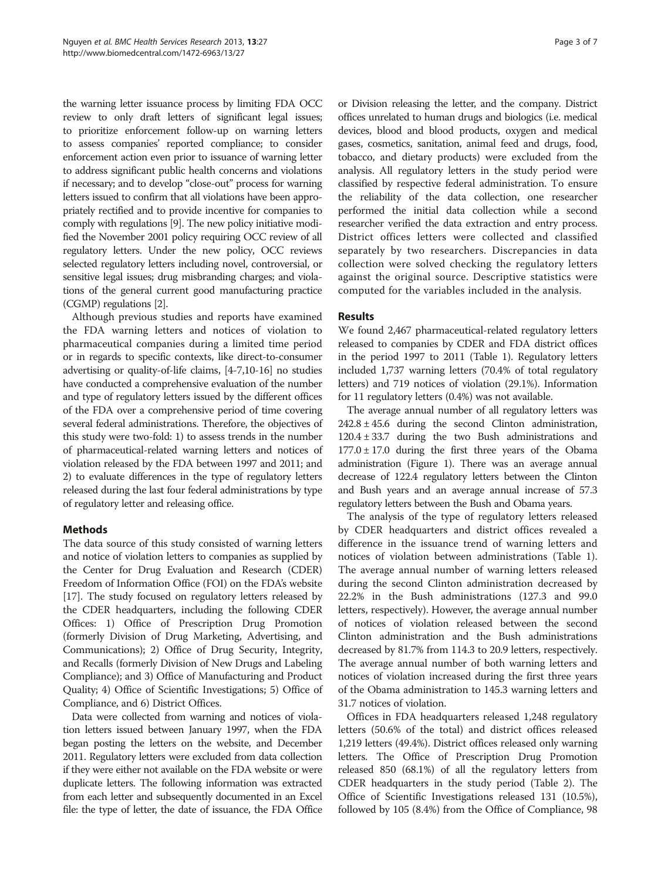the warning letter issuance process by limiting FDA OCC review to only draft letters of significant legal issues; to prioritize enforcement follow-up on warning letters to assess companies' reported compliance; to consider enforcement action even prior to issuance of warning letter to address significant public health concerns and violations if necessary; and to develop "close-out" process for warning letters issued to confirm that all violations have been appropriately rectified and to provide incentive for companies to comply with regulations [\[9\]](#page-6-0). The new policy initiative modified the November 2001 policy requiring OCC review of all regulatory letters. Under the new policy, OCC reviews selected regulatory letters including novel, controversial, or sensitive legal issues; drug misbranding charges; and violations of the general current good manufacturing practice (CGMP) regulations [[2](#page-6-0)].

Although previous studies and reports have examined the FDA warning letters and notices of violation to pharmaceutical companies during a limited time period or in regards to specific contexts, like direct-to-consumer advertising or quality-of-life claims, [\[4](#page-6-0)-[7,10-16\]](#page-6-0) no studies have conducted a comprehensive evaluation of the number and type of regulatory letters issued by the different offices of the FDA over a comprehensive period of time covering several federal administrations. Therefore, the objectives of this study were two-fold: 1) to assess trends in the number of pharmaceutical-related warning letters and notices of violation released by the FDA between 1997 and 2011; and 2) to evaluate differences in the type of regulatory letters released during the last four federal administrations by type of regulatory letter and releasing office.

# Methods

The data source of this study consisted of warning letters and notice of violation letters to companies as supplied by the Center for Drug Evaluation and Research (CDER) Freedom of Information Office (FOI) on the FDA's website [[17](#page-6-0)]. The study focused on regulatory letters released by the CDER headquarters, including the following CDER Offices: 1) Office of Prescription Drug Promotion (formerly Division of Drug Marketing, Advertising, and Communications); 2) Office of Drug Security, Integrity, and Recalls (formerly Division of New Drugs and Labeling Compliance); and 3) Office of Manufacturing and Product Quality; 4) Office of Scientific Investigations; 5) Office of Compliance, and 6) District Offices.

Data were collected from warning and notices of violation letters issued between January 1997, when the FDA began posting the letters on the website, and December 2011. Regulatory letters were excluded from data collection if they were either not available on the FDA website or were duplicate letters. The following information was extracted from each letter and subsequently documented in an Excel file: the type of letter, the date of issuance, the FDA Office

or Division releasing the letter, and the company. District offices unrelated to human drugs and biologics (i.e. medical devices, blood and blood products, oxygen and medical gases, cosmetics, sanitation, animal feed and drugs, food, tobacco, and dietary products) were excluded from the analysis. All regulatory letters in the study period were classified by respective federal administration. To ensure the reliability of the data collection, one researcher performed the initial data collection while a second researcher verified the data extraction and entry process. District offices letters were collected and classified separately by two researchers. Discrepancies in data collection were solved checking the regulatory letters against the original source. Descriptive statistics were computed for the variables included in the analysis.

# Results

We found 2,467 pharmaceutical-related regulatory letters released to companies by CDER and FDA district offices in the period 1997 to 2011 (Table [1](#page-3-0)). Regulatory letters included 1,737 warning letters (70.4% of total regulatory letters) and 719 notices of violation (29.1%). Information for 11 regulatory letters (0.4%) was not available.

The average annual number of all regulatory letters was  $242.8 \pm 45.6$  during the second Clinton administration, 120.4 ± 33.7 during the two Bush administrations and  $177.0 \pm 17.0$  during the first three years of the Obama administration (Figure [1\)](#page-3-0). There was an average annual decrease of 122.4 regulatory letters between the Clinton and Bush years and an average annual increase of 57.3 regulatory letters between the Bush and Obama years.

The analysis of the type of regulatory letters released by CDER headquarters and district offices revealed a difference in the issuance trend of warning letters and notices of violation between administrations (Table [1](#page-3-0)). The average annual number of warning letters released during the second Clinton administration decreased by 22.2% in the Bush administrations (127.3 and 99.0 letters, respectively). However, the average annual number of notices of violation released between the second Clinton administration and the Bush administrations decreased by 81.7% from 114.3 to 20.9 letters, respectively. The average annual number of both warning letters and notices of violation increased during the first three years of the Obama administration to 145.3 warning letters and 31.7 notices of violation.

Offices in FDA headquarters released 1,248 regulatory letters (50.6% of the total) and district offices released 1,219 letters (49.4%). District offices released only warning letters. The Office of Prescription Drug Promotion released 850 (68.1%) of all the regulatory letters from CDER headquarters in the study period (Table [2\)](#page-4-0). The Office of Scientific Investigations released 131 (10.5%), followed by 105 (8.4%) from the Office of Compliance, 98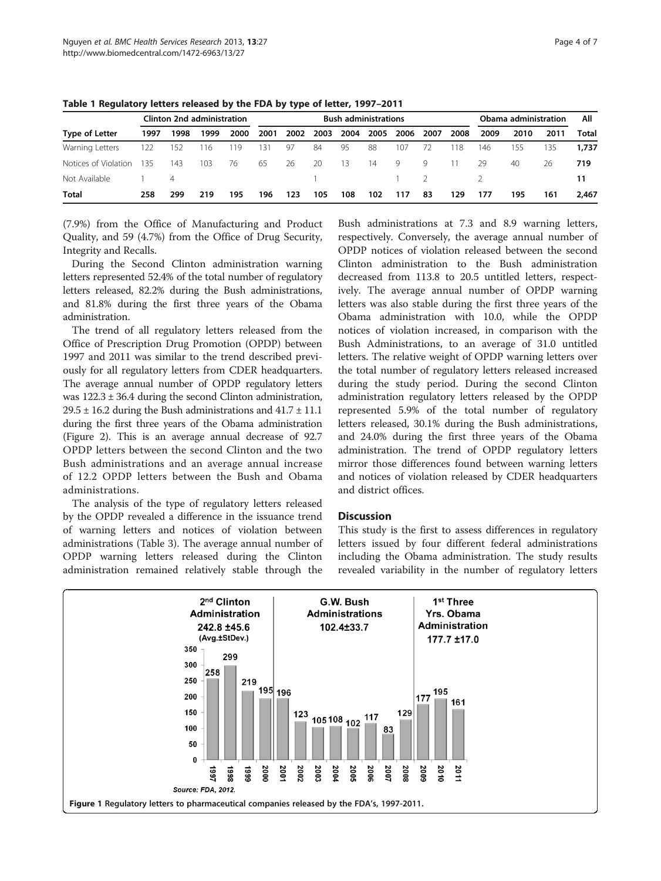|                       |      |      | <b>Clinton 2nd administration</b> |      | <b>Bush administrations</b> |      |      |      |      |      |          |      |      | Obama administration |      |       |  |
|-----------------------|------|------|-----------------------------------|------|-----------------------------|------|------|------|------|------|----------|------|------|----------------------|------|-------|--|
| <b>Type of Letter</b> | 1997 | 1998 | 1999                              | 2000 | 2001                        | 2002 | 2003 | 2004 | 2005 | 2006 | 2007     | 2008 | 2009 | 2010                 | 2011 | Total |  |
| Warning Letters       | 122  | 152  | 116                               | 119  | 131                         | 97   | -84  | -95  | -88  | 107  | $\prime$ | 118  | 146  | 155                  | 135  | 1,737 |  |
| Notices of Violation  | 135  | 143  | 103                               | 76   | 65                          | 26   | 20   | 13   | 14   | 9    | 9        |      | 29   | 40                   | 26   | 719   |  |
| Not Available         |      | 4    |                                   |      |                             |      |      |      |      |      |          |      |      |                      |      | 11    |  |
| <b>Total</b>          | 258  | 299  | 219                               | 195  | 196                         | 123  | 105  | 108  | 102  | 117  | 83       | 129  | 177  | 195                  | 161  | 2.467 |  |

<span id="page-3-0"></span>Table 1 Regulatory letters released by the FDA by type of letter, 1997–2011

(7.9%) from the Office of Manufacturing and Product Quality, and 59 (4.7%) from the Office of Drug Security, Integrity and Recalls.

During the Second Clinton administration warning letters represented 52.4% of the total number of regulatory letters released, 82.2% during the Bush administrations, and 81.8% during the first three years of the Obama administration.

The trend of all regulatory letters released from the Office of Prescription Drug Promotion (OPDP) between 1997 and 2011 was similar to the trend described previously for all regulatory letters from CDER headquarters. The average annual number of OPDP regulatory letters was 122.3 ± 36.4 during the second Clinton administration,  $29.5 \pm 16.2$  during the Bush administrations and  $41.7 \pm 11.1$ during the first three years of the Obama administration (Figure [2\)](#page-4-0). This is an average annual decrease of 92.7 OPDP letters between the second Clinton and the two Bush administrations and an average annual increase of 12.2 OPDP letters between the Bush and Obama administrations.

The analysis of the type of regulatory letters released by the OPDP revealed a difference in the issuance trend of warning letters and notices of violation between administrations (Table [3](#page-5-0)). The average annual number of OPDP warning letters released during the Clinton administration remained relatively stable through the

Bush administrations at 7.3 and 8.9 warning letters, respectively. Conversely, the average annual number of OPDP notices of violation released between the second Clinton administration to the Bush administration decreased from 113.8 to 20.5 untitled letters, respectively. The average annual number of OPDP warning letters was also stable during the first three years of the Obama administration with 10.0, while the OPDP notices of violation increased, in comparison with the Bush Administrations, to an average of 31.0 untitled letters. The relative weight of OPDP warning letters over the total number of regulatory letters released increased during the study period. During the second Clinton administration regulatory letters released by the OPDP represented 5.9% of the total number of regulatory letters released, 30.1% during the Bush administrations, and 24.0% during the first three years of the Obama administration. The trend of OPDP regulatory letters mirror those differences found between warning letters and notices of violation released by CDER headquarters and district offices.

# **Discussion**

This study is the first to assess differences in regulatory letters issued by four different federal administrations including the Obama administration. The study results revealed variability in the number of regulatory letters

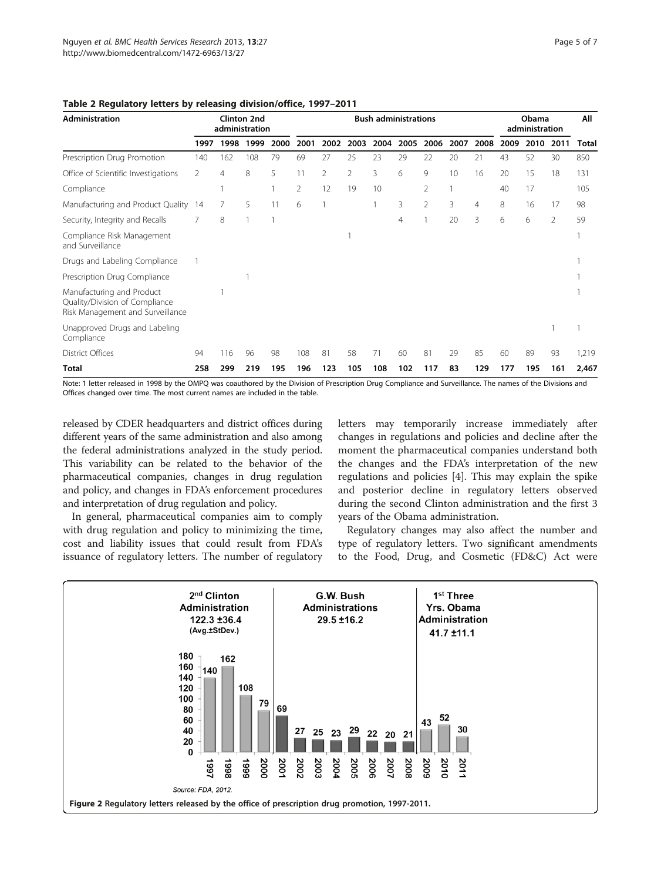| Administration                                                                                  |      |      | Clinton 2nd<br>administration |      | <b>Bush administrations</b> |      |                |      |      |      |      |      | Obama<br>administration |      |                | All          |
|-------------------------------------------------------------------------------------------------|------|------|-------------------------------|------|-----------------------------|------|----------------|------|------|------|------|------|-------------------------|------|----------------|--------------|
|                                                                                                 | 1997 | 1998 | 1999                          | 2000 | 2001                        | 2002 | 2003           | 2004 | 2005 | 2006 | 2007 | 2008 | 2009                    | 2010 | 2011           | <b>Total</b> |
| Prescription Drug Promotion                                                                     | 140  | 162  | 108                           | 79   | 69                          | 27   | 25             | 23   | 29   | 22   | 20   | 21   | 43                      | 52   | 30             | 850          |
| Office of Scientific Investigations                                                             | 2    | 4    | 8                             | 5    | 11                          | 2    | $\overline{2}$ | 3    | 6    | 9    | 10   | 16   | 20                      | 15   | 18             | 131          |
| Compliance                                                                                      |      |      |                               |      | 2                           | 12   | 19             | 10   |      | 2    |      |      | 40                      | 17   |                | 105          |
| Manufacturing and Product Quality                                                               | 14   |      | 5                             | 11   | 6                           |      |                |      | 3    | 2    | 3    | 4    | 8                       | 16   | 17             | 98           |
| Security, Integrity and Recalls                                                                 |      | 8    |                               |      |                             |      |                |      | 4    |      | 20   | 3    | 6                       | 6    | $\overline{2}$ | 59           |
| Compliance Risk Management<br>and Surveillance                                                  |      |      |                               |      |                             |      |                |      |      |      |      |      |                         |      |                |              |
| Drugs and Labeling Compliance                                                                   |      |      |                               |      |                             |      |                |      |      |      |      |      |                         |      |                |              |
| Prescription Drug Compliance                                                                    |      |      |                               |      |                             |      |                |      |      |      |      |      |                         |      |                |              |
| Manufacturing and Product<br>Quality/Division of Compliance<br>Risk Management and Surveillance |      |      |                               |      |                             |      |                |      |      |      |      |      |                         |      |                |              |
| Unapproved Drugs and Labeling<br>Compliance                                                     |      |      |                               |      |                             |      |                |      |      |      |      |      |                         |      |                |              |
| <b>District Offices</b>                                                                         | 94   | 116  | 96                            | 98   | 108                         | 81   | 58             | 71   | 60   | 81   | 29   | 85   | 60                      | 89   | 93             | 1,219        |
| <b>Total</b>                                                                                    | 258  | 299  | 219                           | 195  | 196                         | 123  | 105            | 108  | 102  | 117  | 83   | 129  | 177                     | 195  | 161            | 2,467        |

#### <span id="page-4-0"></span>Table 2 Regulatory letters by releasing division/office, 1997–2011

Note: 1 letter released in 1998 by the OMPQ was coauthored by the Division of Prescription Drug Compliance and Surveillance. The names of the Divisions and Offices changed over time. The most current names are included in the table.

released by CDER headquarters and district offices during different years of the same administration and also among the federal administrations analyzed in the study period. This variability can be related to the behavior of the pharmaceutical companies, changes in drug regulation and policy, and changes in FDA's enforcement procedures and interpretation of drug regulation and policy.

In general, pharmaceutical companies aim to comply with drug regulation and policy to minimizing the time, cost and liability issues that could result from FDA's issuance of regulatory letters. The number of regulatory letters may temporarily increase immediately after changes in regulations and policies and decline after the moment the pharmaceutical companies understand both the changes and the FDA's interpretation of the new regulations and policies [\[4](#page-6-0)]. This may explain the spike and posterior decline in regulatory letters observed during the second Clinton administration and the first 3 years of the Obama administration.

Regulatory changes may also affect the number and type of regulatory letters. Two significant amendments to the Food, Drug, and Cosmetic (FD&C) Act were

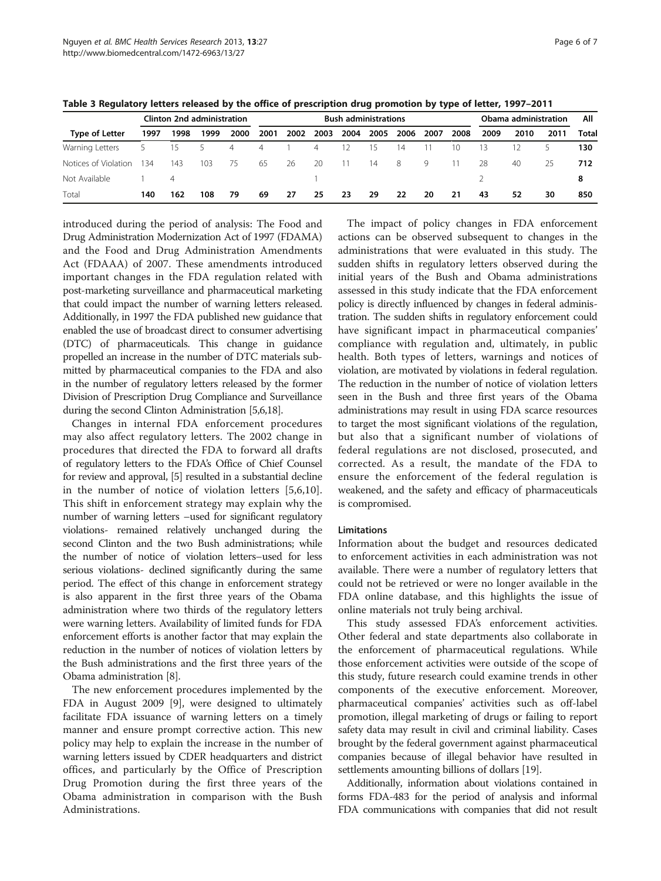|                       |      |      | Clinton 2nd administration |      | <b>Bush administrations</b> |      |      |      |      |      |      |      |      | Obama administration |      |       |  |
|-----------------------|------|------|----------------------------|------|-----------------------------|------|------|------|------|------|------|------|------|----------------------|------|-------|--|
| <b>Type of Letter</b> | 1997 | 1998 | 1999                       | 2000 | 2001                        | 2002 | 2003 | 2004 | 2005 | 2006 | 2007 | 2008 | 2009 | 2010                 | 2011 | Total |  |
| Warning Letters       |      | 15   |                            | 4    | $\overline{4}$              |      | 4    | -12  | - 15 | 14   | 11   | 10   | 13.  |                      |      | 130.  |  |
| Notices of Violation  | 134  | 143  | 103                        | -75  | 65                          | -26  | 20   | -11  | 14   | 8    | 9    |      | 28   | 40                   | 25   | 712   |  |
| Not Available         |      |      |                            |      |                             |      |      |      |      |      |      |      |      |                      |      | 8     |  |
| Total                 | 140  | 162  | 108                        | 79   | 69                          | 27   | 25   | 23   | 29   | 22   | 20   | 21   | 43   | 52                   | 30   | 850   |  |

<span id="page-5-0"></span>Table 3 Regulatory letters released by the office of prescription drug promotion by type of letter, 1997–2011

introduced during the period of analysis: The Food and Drug Administration Modernization Act of 1997 (FDAMA) and the Food and Drug Administration Amendments Act (FDAAA) of 2007. These amendments introduced important changes in the FDA regulation related with post-marketing surveillance and pharmaceutical marketing that could impact the number of warning letters released. Additionally, in 1997 the FDA published new guidance that enabled the use of broadcast direct to consumer advertising (DTC) of pharmaceuticals. This change in guidance propelled an increase in the number of DTC materials submitted by pharmaceutical companies to the FDA and also in the number of regulatory letters released by the former Division of Prescription Drug Compliance and Surveillance during the second Clinton Administration [\[5,6,18](#page-6-0)].

Changes in internal FDA enforcement procedures may also affect regulatory letters. The 2002 change in procedures that directed the FDA to forward all drafts of regulatory letters to the FDA's Office of Chief Counsel for review and approval, [\[5\]](#page-6-0) resulted in a substantial decline in the number of notice of violation letters [[5](#page-6-0),[6,10](#page-6-0)]. This shift in enforcement strategy may explain why the number of warning letters –used for significant regulatory violations- remained relatively unchanged during the second Clinton and the two Bush administrations; while the number of notice of violation letters–used for less serious violations- declined significantly during the same period. The effect of this change in enforcement strategy is also apparent in the first three years of the Obama administration where two thirds of the regulatory letters were warning letters. Availability of limited funds for FDA enforcement efforts is another factor that may explain the reduction in the number of notices of violation letters by the Bush administrations and the first three years of the Obama administration [[8\]](#page-6-0).

The new enforcement procedures implemented by the FDA in August 2009 [\[9\]](#page-6-0), were designed to ultimately facilitate FDA issuance of warning letters on a timely manner and ensure prompt corrective action. This new policy may help to explain the increase in the number of warning letters issued by CDER headquarters and district offices, and particularly by the Office of Prescription Drug Promotion during the first three years of the Obama administration in comparison with the Bush Administrations.

The impact of policy changes in FDA enforcement actions can be observed subsequent to changes in the administrations that were evaluated in this study. The sudden shifts in regulatory letters observed during the initial years of the Bush and Obama administrations assessed in this study indicate that the FDA enforcement policy is directly influenced by changes in federal administration. The sudden shifts in regulatory enforcement could have significant impact in pharmaceutical companies' compliance with regulation and, ultimately, in public health. Both types of letters, warnings and notices of violation, are motivated by violations in federal regulation. The reduction in the number of notice of violation letters seen in the Bush and three first years of the Obama administrations may result in using FDA scarce resources to target the most significant violations of the regulation, but also that a significant number of violations of federal regulations are not disclosed, prosecuted, and corrected. As a result, the mandate of the FDA to ensure the enforcement of the federal regulation is weakened, and the safety and efficacy of pharmaceuticals is compromised.

# Limitations

Information about the budget and resources dedicated to enforcement activities in each administration was not available. There were a number of regulatory letters that could not be retrieved or were no longer available in the FDA online database, and this highlights the issue of online materials not truly being archival.

This study assessed FDA's enforcement activities. Other federal and state departments also collaborate in the enforcement of pharmaceutical regulations. While those enforcement activities were outside of the scope of this study, future research could examine trends in other components of the executive enforcement. Moreover, pharmaceutical companies' activities such as off-label promotion, illegal marketing of drugs or failing to report safety data may result in civil and criminal liability. Cases brought by the federal government against pharmaceutical companies because of illegal behavior have resulted in settlements amounting billions of dollars [\[19](#page-6-0)].

Additionally, information about violations contained in forms FDA-483 for the period of analysis and informal FDA communications with companies that did not result